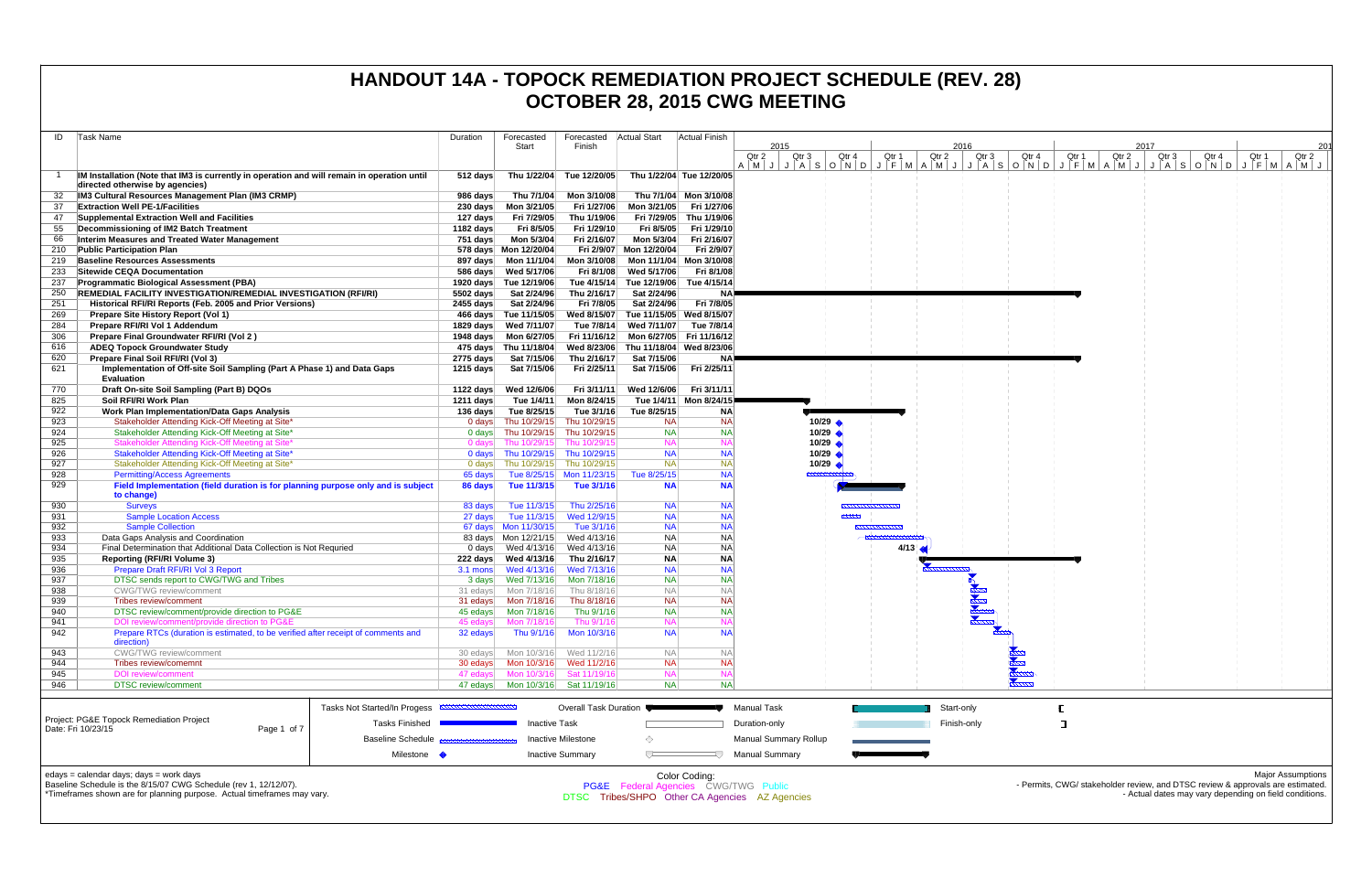| ID         | Task Name                                                                                                                 | Duration   | Forecasted                                               | Forecasted   Actual Start  |                                       | <b>Actual Finish</b>      |                                                                                                                                                   |                                        |       |               |                      |       |                                                                                |               |                  |       |                                                        |                          |
|------------|---------------------------------------------------------------------------------------------------------------------------|------------|----------------------------------------------------------|----------------------------|---------------------------------------|---------------------------|---------------------------------------------------------------------------------------------------------------------------------------------------|----------------------------------------|-------|---------------|----------------------|-------|--------------------------------------------------------------------------------|---------------|------------------|-------|--------------------------------------------------------|--------------------------|
|            |                                                                                                                           |            | Start                                                    | Finish                     |                                       |                           | 2015<br>Qtr 2<br>Qtr <sub>3</sub>                                                                                                                 | Qtr 4                                  | Qtr 1 | 2016<br>Qtr 2 | Qtr 3                | Qtr 4 | Qtr 1                                                                          | 2017<br>Qtr 2 | Qtr <sub>3</sub> | Qtr 4 | Qtr 1                                                  | 201<br>Qtr 2             |
|            |                                                                                                                           |            |                                                          |                            |                                       |                           | A   M   J   A   S   O   N   O   J   F   M   A   M   J   A   S   O   N   O   J   F   M   A   M   J   J   A   S   O   N   O   J   F   M   A   M   J |                                        |       |               |                      |       |                                                                                |               |                  |       |                                                        |                          |
|            | IM Installation (Note that IM3 is currently in operation and will remain in operation until                               | $512$ days |                                                          | Thu 1/22/04 Tue 12/20/05   | Thu 1/22/04 Tue 12/20/05              |                           |                                                                                                                                                   |                                        |       |               |                      |       |                                                                                |               |                  |       |                                                        |                          |
|            | directed otherwise by agencies)<br>IM3 Cultural Resources Management Plan (IM3 CRMP)                                      | 986 days   | Thu 7/1/04                                               | Mon 3/10/08                |                                       | Thu 7/1/04 Mon 3/10/08    |                                                                                                                                                   |                                        |       |               |                      |       |                                                                                |               |                  |       |                                                        |                          |
| -37        | <b>Extraction Well PE-1/Facilities</b>                                                                                    |            |                                                          | Fri 1/27/06                | Mon 3/21/05                           | Fri 1/27/06               |                                                                                                                                                   |                                        |       |               |                      |       |                                                                                |               |                  |       |                                                        |                          |
| 47         | Supplemental Extraction Well and Facilities                                                                               | 127 days   | Fri 7/29/05                                              | Thu 1/19/06                | Fri 7/29/05                           | Thu 1/19/06               |                                                                                                                                                   |                                        |       |               |                      |       |                                                                                |               |                  |       |                                                        |                          |
| 55         | Decommissioning of IM2 Batch Treatment                                                                                    | 1182 days  | Fri 8/5/05                                               | Fri 1/29/10                | Fri 8/5/05                            | Fri 1/29/10               |                                                                                                                                                   |                                        |       |               |                      |       |                                                                                |               |                  |       |                                                        |                          |
| 66         | Interim Measures and Treated Water Management                                                                             | 751 days   | Mon 5/3/04                                               | Fri 2/16/07                | Mon 5/3/04                            | Fri 2/16/07               |                                                                                                                                                   |                                        |       |               |                      |       |                                                                                |               |                  |       |                                                        |                          |
| 210        | <b>Public Participation Plan</b>                                                                                          |            | 578 days  Mon 12/20/04                                   |                            | Fri 2/9/07 Mon 12/20/04               | Fri 2/9/07                |                                                                                                                                                   |                                        |       |               |                      |       |                                                                                |               |                  |       |                                                        |                          |
| 219        | <b>Baseline Resources Assessments</b>                                                                                     |            |                                                          | Mon 3/10/08                | Mon 11/1/04                           | Mon 3/10/08               |                                                                                                                                                   |                                        |       |               |                      |       |                                                                                |               |                  |       |                                                        |                          |
| 233        | Sitewide CEQA Documentation                                                                                               |            | 586 days Wed 5/17/06                                     | Fri 8/1/08                 | Wed 5/17/06                           | Fri 8/1/08<br>Tue 4/15/14 |                                                                                                                                                   |                                        |       |               |                      |       |                                                                                |               |                  |       |                                                        |                          |
| 237<br>250 | <b>Programmatic Biological Assessment (PBA)</b><br><b>REMEDIAL FACILITY INVESTIGATION/REMEDIAL INVESTIGATION (RFI/RI)</b> | 5502 days  | 1920 days Tue 12/19/06<br>Sat 2/24/96                    | Tue 4/15/14<br>Thu 2/16/17 | Tue 12/19/06<br>Sat 2/24/96           | <b>NA</b>                 |                                                                                                                                                   |                                        |       |               |                      |       |                                                                                |               |                  |       |                                                        |                          |
| 251        | Historical RFI/RI Reports (Feb. 2005 and Prior Versions)                                                                  | 2455 days  | Sat 2/24/96                                              | Fri 7/8/05                 | Sat 2/24/96                           | Fri 7/8/05                |                                                                                                                                                   |                                        |       |               |                      |       |                                                                                |               |                  |       |                                                        |                          |
| 269        | Prepare Site History Report (Vol 1)                                                                                       |            | 466 days Tue 11/15/05                                    |                            | Wed 8/15/07 Tue 11/15/05 Wed 8/15/07  |                           |                                                                                                                                                   |                                        |       |               |                      |       |                                                                                |               |                  |       |                                                        |                          |
| 284        | Prepare RFI/RI Vol 1 Addendum                                                                                             |            | 1829 days Wed 7/11/07                                    |                            | Tue 7/8/14 Wed 7/11/07                | Tue 7/8/14                |                                                                                                                                                   |                                        |       |               |                      |       |                                                                                |               |                  |       |                                                        |                          |
| 306        | Prepare Final Groundwater RFI/RI (Vol 2)                                                                                  |            | 1948 days    Mon 6/27/05                                 |                            | Fri 11/16/12 Mon 6/27/05 Fri 11/16/12 |                           |                                                                                                                                                   |                                        |       |               |                      |       |                                                                                |               |                  |       |                                                        |                          |
| 616        | <b>ADEQ Topock Groundwater Study</b>                                                                                      |            | 475 days Thu 11/18/04                                    |                            | Wed 8/23/06 Thu 11/18/04 Wed 8/23/06  |                           |                                                                                                                                                   |                                        |       |               |                      |       |                                                                                |               |                  |       |                                                        |                          |
| 620        | Prepare Final Soil RFI/RI (Vol 3)                                                                                         | 2775 days  | Sat 7/15/06                                              | Thu 2/16/17                | Sat 7/15/06                           | NΑ                        |                                                                                                                                                   |                                        |       |               |                      |       |                                                                                |               |                  |       |                                                        |                          |
| 621        | Implementation of Off-site Soil Sampling (Part A Phase 1) and Data Gaps<br><b>Evaluation</b>                              | 1215 days  | Sat 7/15/06                                              | Fri 2/25/11                | Sat 7/15/06                           | Fri 2/25/11               |                                                                                                                                                   |                                        |       |               |                      |       |                                                                                |               |                  |       |                                                        |                          |
| 770        | Draft On-site Soil Sampling (Part B) DQOs                                                                                 | 1122 days  | Wed 12/6/06                                              | Fri 3/11/11                | Wed 12/6/06                           | Fri 3/11/11               |                                                                                                                                                   |                                        |       |               |                      |       |                                                                                |               |                  |       |                                                        |                          |
| 825        | Soil RFI/RI Work Plan                                                                                                     | 1211 days  | Tue 1/4/11                                               | Mon 8/24/15                |                                       | Tue 1/4/11 Mon 8/24/15    |                                                                                                                                                   |                                        |       |               |                      |       |                                                                                |               |                  |       |                                                        |                          |
| 922        | <b>Work Plan Implementation/Data Gaps Analysis</b>                                                                        | 136 days   | Tue 8/25/15                                              | Tue 3/1/16                 | Tue 8/25/15                           | <b>NA</b>                 |                                                                                                                                                   |                                        |       |               |                      |       |                                                                                |               |                  |       |                                                        |                          |
| 923        | Stakeholder Attending Kick-Off Meeting at Site'                                                                           |            | 0 days Thu 10/29/15                                      | Thu 10/29/15               | <b>NA</b>                             | <b>NA</b>                 |                                                                                                                                                   | $10/29$ $\triangle$                    |       |               |                      |       |                                                                                |               |                  |       |                                                        |                          |
| 924        | Stakeholder Attending Kick-Off Meeting at Site*<br>Stakeholder Attending Kick-Off Meeting at Site                         | 0 days     | Thu 10/29/15                                             | Thu 10/29/15               | <b>NA</b><br><b>NA</b>                | <b>NA</b>                 |                                                                                                                                                   | 10/29 $\triangle$                      |       |               |                      |       |                                                                                |               |                  |       |                                                        |                          |
| 925<br>926 | Stakeholder Attending Kick-Off Meeting at Site*                                                                           | 0 davs     | Thu 10/29/15<br>0 days Thu 10/29/15 Thu 10/29/15         | Thu 10/29/15               | <b>NA</b>                             | <b>NA</b>                 |                                                                                                                                                   | 10/29 $\triangle$<br>$10/29$ $\bullet$ |       |               |                      |       |                                                                                |               |                  |       |                                                        |                          |
| 927        | Stakeholder Attending Kick-Off Meeting at Site*                                                                           |            | 0 days Thu 10/29/15 Thu 10/29/15                         |                            | <b>NA</b>                             | <b>NA</b>                 |                                                                                                                                                   | $10/29$ $\triangle$                    |       |               |                      |       |                                                                                |               |                  |       |                                                        |                          |
| 928        | <b>Permitting/Access Agreements</b>                                                                                       | 65 days    |                                                          | Tue 8/25/15 Mon 11/23/15   | Tue 8/25/15                           | <b>NA</b>                 |                                                                                                                                                   |                                        |       |               |                      |       |                                                                                |               |                  |       |                                                        |                          |
| 929        | Field Implementation (field duration is for planning purpose only and is subject                                          | 86 days    | Tue 11/3/15                                              | Tue 3/1/16                 | <b>NA</b>                             | <b>NA</b>                 |                                                                                                                                                   |                                        |       |               |                      |       |                                                                                |               |                  |       |                                                        |                          |
|            | to change)                                                                                                                |            |                                                          |                            |                                       |                           |                                                                                                                                                   |                                        |       |               |                      |       |                                                                                |               |                  |       |                                                        |                          |
| 930        | <b>Surveys</b>                                                                                                            | 83 days    | Tue 11/3/15                                              | Thu 2/25/16                | <b>NA</b>                             | <b>NA</b>                 |                                                                                                                                                   |                                        |       |               |                      |       |                                                                                |               |                  |       |                                                        |                          |
| 931        | <b>Sample Location Access</b>                                                                                             | 27 days    | Tue 11/3/15                                              | Wed 12/9/15                | <b>NA</b>                             | <b>NA</b>                 |                                                                                                                                                   | ------                                 |       |               |                      |       |                                                                                |               |                  |       |                                                        |                          |
| 932        | <b>Sample Collection</b>                                                                                                  |            | 67 days Mon 11/30/15                                     | Tue 3/1/16                 | <b>NA</b><br><b>NA</b>                | <b>NA</b><br><b>NA</b>    |                                                                                                                                                   | ,,,,,,,,,,                             |       |               |                      |       |                                                                                |               |                  |       |                                                        |                          |
| 933<br>934 | Data Gaps Analysis and Coordination<br>Final Determination that Additional Data Collection is Not Requried                |            | 83 days   Mon 12/21/15<br>0 days Wed 4/13/16 Wed 4/13/16 | Wed 4/13/16                | <b>NA</b>                             | <b>NA</b>                 |                                                                                                                                                   |                                        | 4/13  |               |                      |       |                                                                                |               |                  |       |                                                        |                          |
| 935        | <b>Reporting (RFI/RI Volume 3)</b>                                                                                        |            | 222 days Wed 4/13/16                                     | Thu 2/16/17                | <b>NA</b>                             | <b>NA</b>                 |                                                                                                                                                   |                                        |       |               |                      |       |                                                                                |               |                  |       |                                                        |                          |
| 936        | Prepare Draft RFI/RI Vol 3 Report                                                                                         |            |                                                          | Wed 7/13/16                | <b>NA</b>                             | <b>NA</b>                 |                                                                                                                                                   |                                        |       |               |                      |       |                                                                                |               |                  |       |                                                        |                          |
| 937        | DTSC sends report to CWG/TWG and Tribes                                                                                   | 3 days     | Wed 7/13/16                                              | Mon 7/18/16                | <b>NA</b>                             | <b>NA</b>                 |                                                                                                                                                   |                                        |       |               |                      |       |                                                                                |               |                  |       |                                                        |                          |
| 938        | <b>CWG/TWG</b> review/comment                                                                                             |            |                                                          | Thu 8/18/16                | <b>NA</b>                             | <b>NA</b>                 |                                                                                                                                                   |                                        |       |               |                      |       |                                                                                |               |                  |       |                                                        |                          |
| 939        | Tribes review/comment                                                                                                     |            | 31 edays    Mon 7/18/16                                  | Thu 8/18/16                | <b>NA</b>                             | <b>NA</b>                 |                                                                                                                                                   |                                        |       |               |                      |       |                                                                                |               |                  |       |                                                        |                          |
| 940        | DTSC review/comment/provide direction to PG&E                                                                             |            |                                                          | Thu 9/1/16                 | <b>NA</b>                             | <b>NA</b>                 |                                                                                                                                                   |                                        |       |               |                      |       |                                                                                |               |                  |       |                                                        |                          |
| 941        | DOI review/comment/provide direction to PG&E                                                                              | 45 edays   | Mon 7/18/16<br>Thu 9/1/16                                | Thu 9/1/1<br>Mon 10/3/16   | <b>NA</b><br><b>NA</b>                | <b>NA</b>                 |                                                                                                                                                   |                                        |       |               |                      |       |                                                                                |               |                  |       |                                                        |                          |
| 942        | Prepare RTCs (duration is estimated, to be verified after receipt of comments and<br>direction)                           | 32 edays   |                                                          |                            |                                       |                           |                                                                                                                                                   |                                        |       |               |                      |       |                                                                                |               |                  |       |                                                        |                          |
| 943        | <b>CWG/TWG</b> review/comment                                                                                             |            |                                                          | Wed 11/2/16                | <b>NA</b>                             | <b>NA</b>                 |                                                                                                                                                   |                                        |       |               |                      |       |                                                                                |               |                  |       |                                                        |                          |
| 944        | Tribes review/comemnt                                                                                                     |            |                                                          | Wed 11/2/16                | <b>NA</b>                             | <b>NA</b>                 |                                                                                                                                                   |                                        |       |               | $\blacktriangledown$ |       |                                                                                |               |                  |       |                                                        |                          |
| 945        | <b>DOI</b> review/comment                                                                                                 |            |                                                          | Sat 11/19/16               | <b>NA</b>                             |                           |                                                                                                                                                   |                                        |       |               |                      |       |                                                                                |               |                  |       |                                                        |                          |
| 946        | <b>DTSC</b> review/comment                                                                                                |            | 47 edays    Mon 10/3/16    Sat 11/19/16                  |                            | <b>NA</b>                             | <b>NA</b>                 |                                                                                                                                                   |                                        |       |               |                      |       |                                                                                |               |                  |       |                                                        |                          |
|            | Tasks Not Started/In Progess <b>EXPERIMENTALISMENT</b>                                                                    |            |                                                          | Overall Task Duration      |                                       |                           | <b>Manual Task</b>                                                                                                                                |                                        |       | Start-only    |                      |       |                                                                                |               |                  |       |                                                        |                          |
|            | Project: PG&E Topock Remediation Project<br><b>Tasks Finished</b>                                                         |            | <b>Inactive Task</b>                                     |                            |                                       |                           | Duration-only                                                                                                                                     |                                        |       | Finish-only   |                      | П     |                                                                                |               |                  |       |                                                        |                          |
|            | Date: Fri 10/23/15<br>Page 1 of 7<br><b>Baseline Schedule</b>                                                             |            |                                                          | <b>Inactive Milestone</b>  | ◇                                     |                           | <b>Manual Summary Rollup</b>                                                                                                                      |                                        |       |               |                      |       |                                                                                |               |                  |       |                                                        |                          |
|            |                                                                                                                           |            |                                                          |                            |                                       |                           |                                                                                                                                                   |                                        |       |               |                      |       |                                                                                |               |                  |       |                                                        |                          |
|            | Milestone •                                                                                                               |            |                                                          | <b>Inactive Summary</b>    |                                       |                           | <b>Manual Summary</b>                                                                                                                             |                                        |       |               |                      |       |                                                                                |               |                  |       |                                                        |                          |
|            | edays = calendar days; days = work days                                                                                   |            |                                                          |                            |                                       | Color Coding:             |                                                                                                                                                   |                                        |       |               |                      |       |                                                                                |               |                  |       |                                                        | <b>Major Assumptions</b> |
|            | Baseline Schedule is the 8/15/07 CWG Schedule (rev 1, 12/12/07).                                                          |            |                                                          |                            | PG&E Federal Agencies CWG/TWG Public  |                           |                                                                                                                                                   |                                        |       |               |                      |       | - Permits, CWG/ stakeholder review, and DTSC review & approvals are estimated. |               |                  |       |                                                        |                          |
|            | *Timeframes shown are for planning purpose. Actual timeframes may vary.                                                   |            |                                                          |                            |                                       |                           | DTSC Tribes/SHPO Other CA Agencies AZ Agencies                                                                                                    |                                        |       |               |                      |       |                                                                                |               |                  |       | - Actual dates may vary depending on field conditions. |                          |
|            |                                                                                                                           |            |                                                          |                            |                                       |                           |                                                                                                                                                   |                                        |       |               |                      |       |                                                                                |               |                  |       |                                                        |                          |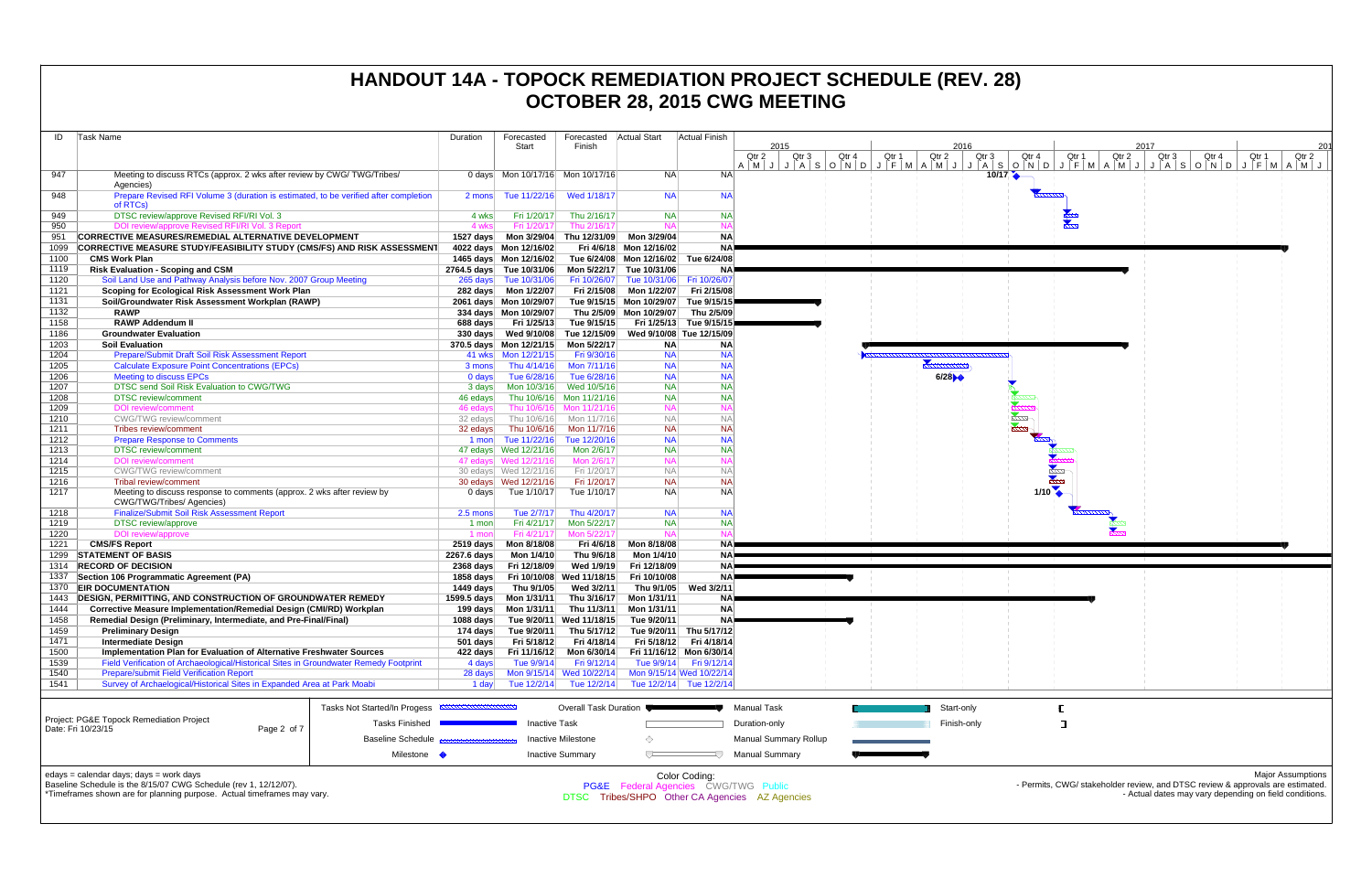| ID   | Task Name                                                                                           |                              | Duration             | Forecasted                       | Forecasted                | <b>Actual Start</b>                  | Actual Finish            |                                                       |       |                                  |                                     |
|------|-----------------------------------------------------------------------------------------------------|------------------------------|----------------------|----------------------------------|---------------------------|--------------------------------------|--------------------------|-------------------------------------------------------|-------|----------------------------------|-------------------------------------|
|      |                                                                                                     |                              |                      | Start                            | Finish                    |                                      |                          | 2015                                                  |       |                                  | 2016                                |
|      |                                                                                                     |                              |                      |                                  |                           |                                      |                          | Qtr 2<br>Qtr 3<br>$A$ $M$ $J$ $J$ $A$ $S$ $O$ $N$ $D$ | Qtr 4 | Qtr 1<br>$J$ $F$ $M$ $A$ $M$ $J$ | Qtr 2<br>Qtr 3<br>$J \mid A \mid S$ |
| 947  | Meeting to discuss RTCs (approx. 2 wks after review by CWG/TWG/Tribes/<br>Agencies)                 |                              |                      | 0 days Mon 10/17/16 Mon 10/17/16 |                           | NA.                                  | <b>NA</b>                |                                                       |       |                                  | 10/17                               |
| 948  | Prepare Revised RFI Volume 3 (duration is estimated, to be verified after completion<br>of RTCs)    |                              | 2 mons               | Tue 11/22/16                     | Wed 1/18/17               | <b>NA</b>                            | <b>NA</b>                |                                                       |       |                                  |                                     |
| 949  | DTSC review/approve Revised RFI/RI Vol. 3                                                           |                              | 4 wks                | Fri 1/20/17                      | Thu 2/16/17               | <b>NA</b>                            | <b>NA</b>                |                                                       |       |                                  |                                     |
| 950  | DOI review/approve Revised RFI/RI Vol. 3 Report                                                     |                              | 4 wks                | Fri 1/20/17                      | Thu 2/16/17               | <b>NA</b>                            | <b>NA</b>                |                                                       |       |                                  |                                     |
| 951  | <b>CORRECTIVE MEASURES/REMEDIAL ALTERNATIVE DEVELOPMENT</b>                                         |                              | 1527 days            | Mon 3/29/04                      | Thu 12/31/09              | Mon 3/29/04                          | <b>NA</b>                |                                                       |       |                                  |                                     |
| 1099 | <b>CORRECTIVE MEASURE STUDY/FEASIBILITY STUDY (CMS/FS) AND RISK ASSESSMENT</b>                      |                              |                      | 4022 days Mon 12/16/02           |                           | Fri 4/6/18 Mon 12/16/02              | <b>NA</b>                |                                                       |       |                                  |                                     |
| 1100 | <b>CMS Work Plan</b>                                                                                |                              |                      | 1465 days Mon 12/16/02           |                           | Tue 6/24/08 Mon 12/16/02 Tue 6/24/08 |                          |                                                       |       |                                  |                                     |
| 1119 | <b>Risk Evaluation - Scoping and CSM</b>                                                            |                              |                      | 2764.5 days Tue 10/31/06         | Mon 5/22/17               | Tue 10/31/06                         | NA.                      |                                                       |       |                                  |                                     |
| 1120 | Soil Land Use and Pathway Analysis before Nov. 2007 Group Meeting                                   |                              |                      | 265 days Tue 10/31/06            | Fri 10/26/07              | Tue 10/31/06                         | Fri 10/26/07             |                                                       |       |                                  |                                     |
| 1121 | Scoping for Ecological Risk Assessment Work Plan                                                    |                              |                      |                                  | Fri 2/15/08               | Mon 1/22/07                          | Fri 2/15/08              |                                                       |       |                                  |                                     |
| 1131 | Soil/Groundwater Risk Assessment Workplan (RAWP)                                                    |                              |                      | 2061 days Mon 10/29/07           |                           | Tue 9/15/15 Mon 10/29/07             | Tue 9/15/15              |                                                       |       |                                  |                                     |
| 1132 | <b>RAWP</b>                                                                                         |                              |                      | 334 days Mon 10/29/07            |                           | Thu 2/5/09 Mon 10/29/07              | Thu 2/5/09               |                                                       |       |                                  |                                     |
| 1158 | <b>RAWP Addendum II</b>                                                                             |                              | 688 days             | Fri 1/25/13                      | Tue 9/15/15               |                                      | Fri 1/25/13 Tue 9/15/15  |                                                       |       |                                  |                                     |
| 1186 | <b>Groundwater Evaluation</b>                                                                       |                              | 330 days             | Wed 9/10/08                      | Tue 12/15/09              |                                      | Wed 9/10/08 Tue 12/15/09 |                                                       |       |                                  |                                     |
| 1203 | <b>Soil Evaluation</b>                                                                              |                              |                      | 370.5 days Mon 12/21/15          | Mon 5/22/17               | <b>NA</b>                            | <b>NA</b>                |                                                       |       |                                  |                                     |
| 1204 | Prepare/Submit Draft Soil Risk Assessment Report                                                    |                              |                      | 41 wks   Mon 12/21/15            | Fri 9/30/16               | <b>NA</b>                            | <b>NA</b>                |                                                       |       |                                  |                                     |
| 1205 |                                                                                                     |                              |                      | Thu 4/14/16                      | Mon 7/11/16               | <b>NA</b>                            | <b>NA</b>                |                                                       |       |                                  |                                     |
| 1206 | <b>Calculate Exposure Point Concentrations (EPCs)</b>                                               |                              | 3 mons               | Tue 6/28/16                      | Tue 6/28/16               | <b>NA</b>                            | <b>NA</b>                |                                                       |       |                                  | 6/28                                |
| 1207 | <b>Meeting to discuss EPCs</b><br>DTSC send Soil Risk Evaluation to CWG/TWG                         |                              | $0$ days             |                                  |                           | <b>NA</b>                            | <b>NA</b>                |                                                       |       |                                  |                                     |
| 1208 |                                                                                                     |                              | 3 days               | Mon 10/3/16                      | Wed 10/5/16               | <b>NA</b>                            | <b>NA</b>                |                                                       |       |                                  |                                     |
|      | <b>DTSC</b> review/comment                                                                          |                              | 46 edays             | Thu 10/6/16<br>Thu 10/6/16       | Mon 11/21/16              |                                      | <b>NA</b>                |                                                       |       |                                  |                                     |
| 1209 | <b>DOI</b> review/comment                                                                           |                              | 46 edays             |                                  | Mon 11/21/16              | <b>NA</b>                            | <b>NA</b>                |                                                       |       |                                  |                                     |
| 1210 | <b>CWG/TWG</b> review/comment                                                                       |                              | 32 edays             | Thu 10/6/16                      | Mon 11/7/16               | <b>NA</b>                            | <b>NA</b>                |                                                       |       |                                  |                                     |
| 1211 | Tribes review/comment                                                                               |                              | 32 edays             | Thu 10/6/16                      | Mon 11/7/16               | <b>NA</b>                            |                          |                                                       |       |                                  |                                     |
| 1212 | <b>Prepare Response to Comments</b>                                                                 |                              |                      | 1 mon Tue 11/22/16               | Tue 12/20/16              | <b>NA</b>                            | <b>NA</b>                |                                                       |       |                                  |                                     |
| 1213 | <b>DTSC</b> review/comment                                                                          |                              |                      | 47 edays  Wed 12/21/16           | Mon 2/6/17                | <b>NA</b>                            | <b>NA</b>                |                                                       |       |                                  |                                     |
| 1214 | DOI review/comment                                                                                  |                              |                      | 47 edays  Wed 12/21/16           | Mon 2/6/17                | <b>NA</b>                            | <b>NA</b>                |                                                       |       |                                  |                                     |
| 1215 | <b>CWG/TWG</b> review/comment                                                                       |                              |                      | 30 edays  Wed 12/21/16           | Fri 1/20/17               | <b>NA</b>                            | <b>NA</b>                |                                                       |       |                                  |                                     |
| 1216 | Tribal review/comment                                                                               |                              |                      | 30 edays  Wed 12/21/16           | Fri 1/20/17               | <b>NA</b>                            | <b>NA</b>                |                                                       |       |                                  |                                     |
| 1217 | Meeting to discuss response to comments (approx. 2 wks after review by<br>CWG/TWG/Tribes/ Agencies) |                              | 0 days               | Tue 1/10/17                      | Tue 1/10/17               | <b>NA</b>                            | <b>NA</b>                |                                                       |       |                                  |                                     |
| 1218 | <b>Finalize/Submit Soil Risk Assessment Report</b>                                                  |                              | 2.5 mons             | Tue 2/7/17                       | Thu 4/20/17               | <b>NA</b>                            | <b>NA</b>                |                                                       |       |                                  |                                     |
| 1219 | <b>DTSC</b> review/approve                                                                          |                              | 1 mon                | Fri 4/21/17                      | Mon 5/22/17               | <b>NA</b>                            | <b>NA</b>                |                                                       |       |                                  |                                     |
| 1220 | DOI review/approve                                                                                  |                              | 1 mon                | Fri 4/21/17                      | Mon 5/22/17               | <b>NA</b>                            | <b>NA</b>                |                                                       |       |                                  |                                     |
| 1221 | <b>CMS/FS Report</b>                                                                                |                              | $2519$ days          | Mon 8/18/08                      | Fri 4/6/18                | Mon 8/18/08                          | <b>NA</b>                |                                                       |       |                                  |                                     |
| 1299 | <b>STATEMENT OF BASIS</b>                                                                           |                              | 2267.6 days          | Mon 1/4/10                       | Thu 9/6/18                | Mon 1/4/10                           | <b>NAP</b>               |                                                       |       |                                  |                                     |
| 1314 | <b>RECORD OF DECISION</b>                                                                           |                              | $2368$ days          | Fri 12/18/09                     | Wed 1/9/19                | Fri 12/18/09                         | <b>NA</b>                |                                                       |       |                                  |                                     |
| 1337 | Section 106 Programmatic Agreement (PA)                                                             |                              | 1858 days            | Fri 10/10/08                     | Wed 11/18/15              | Fri 10/10/08                         | <b>NA</b>                |                                                       |       |                                  |                                     |
| 1370 | <b>EIR DOCUMENTATION</b>                                                                            |                              | 1449 days            | Thu 9/1/05                       | Wed 3/2/11                | Thu 9/1/05                           | Wed 3/2/11               |                                                       |       |                                  |                                     |
| 1443 | <b>DESIGN, PERMITTING, AND CONSTRUCTION OF GROUNDWATER REMEDY</b>                                   |                              | 1599.5 days          | Mon 1/31/11                      | Thu 3/16/17               | Mon 1/31/11                          | NAP                      |                                                       |       |                                  |                                     |
| 1444 | Corrective Measure Implementation/Remedial Design (CMI/RD) Workplan                                 |                              | 199 days             | Mon 1/31/11                      | Thu 11/3/11               | Mon 1/31/11                          | <b>NA</b>                |                                                       |       |                                  |                                     |
| 1458 | Remedial Design (Preliminary, Intermediate, and Pre-Final/Final)                                    |                              | 1088 days            |                                  | Tue 9/20/11 Wed 11/18/15  | Tue 9/20/11                          | <b>NA</b>                |                                                       |       |                                  |                                     |
| 1459 | <b>Preliminary Design</b>                                                                           |                              |                      | 174 days Tue 9/20/11             | Thu 5/17/12               |                                      | Tue 9/20/11 Thu 5/17/12  |                                                       |       |                                  |                                     |
| 1471 | <b>Intermediate Design</b>                                                                          |                              | 501 days             | Fri 5/18/12                      | Fri 4/18/14               |                                      | Fri 5/18/12 Fri 4/18/14  |                                                       |       |                                  |                                     |
| 1500 | Implementation Plan for Evaluation of Alternative Freshwater Sources                                |                              | 422 days             | Fri 11/16/12                     | Mon 6/30/14               |                                      | Fri 11/16/12 Mon 6/30/14 |                                                       |       |                                  |                                     |
| 1539 | Field Verification of Archaeological/Historical Sites in Groundwater Remedy Footprint               |                              | 4 days               | Tue 9/9/14                       | Fri 9/12/14               |                                      | Tue 9/9/14   Fri 9/12/14 |                                                       |       |                                  |                                     |
| 1540 | Prepare/submit Field Verification Report                                                            |                              | 28 days              |                                  | Mon 9/15/14 Wed 10/22/14  |                                      | Mon 9/15/14 Wed 10/22/14 |                                                       |       |                                  |                                     |
| 1541 | Survey of Archaelogical/Historical Sites in Expanded Area at Park Moabi                             |                              | 1 day                | Tue 12/2/14                      | Tue 12/2/14               |                                      | Tue 12/2/14 Tue 12/2/14  |                                                       |       |                                  |                                     |
|      |                                                                                                     |                              |                      |                                  |                           |                                      |                          |                                                       |       |                                  |                                     |
|      |                                                                                                     | Tasks Not Started/In Progess | <b>MANUFACTURERS</b> |                                  | Overall Task Duration     |                                      |                          | <b>Manual Task</b>                                    |       |                                  | Start-only                          |
|      | Project: PG&E Topock Remediation Project                                                            |                              |                      |                                  |                           |                                      |                          |                                                       |       |                                  |                                     |
|      | Date: Fri 10/23/15<br>Page 2 of 7                                                                   | <b>Tasks Finished</b>        |                      | <b>Inactive Task</b>             |                           |                                      |                          | Duration-only                                         |       |                                  | Finish-only                         |
|      |                                                                                                     | <b>Baseline Schedule</b>     |                      |                                  | <b>Inactive Milestone</b> | ◇                                    |                          | <b>Manual Summary Rollup</b>                          |       |                                  |                                     |
|      |                                                                                                     |                              |                      |                                  |                           |                                      |                          |                                                       |       |                                  |                                     |
|      |                                                                                                     | Milestone •                  |                      |                                  | <b>Inactive Summary</b>   | ᅮ                                    |                          | <b>Manual Summary</b>                                 |       |                                  |                                     |
|      | edays = calendar days; days = work days                                                             |                              |                      |                                  |                           |                                      | Color Coding:            |                                                       |       |                                  |                                     |
|      | Baseline Schedule is the 8/15/07 CWG Schedule (rev 1, 12/12/07).                                    |                              |                      |                                  |                           |                                      |                          |                                                       |       |                                  |                                     |
|      |                                                                                                     |                              |                      |                                  |                           |                                      |                          | PG&E Federal Agencies CWG/TWG Public                  |       |                                  |                                     |



\*Timeframes shown are for planning purpose. Actual timeframes may vary.

Federal Agencies CWG/TWG Public DTSC Tribes/SHPO Other CA Agencies AZ Agencies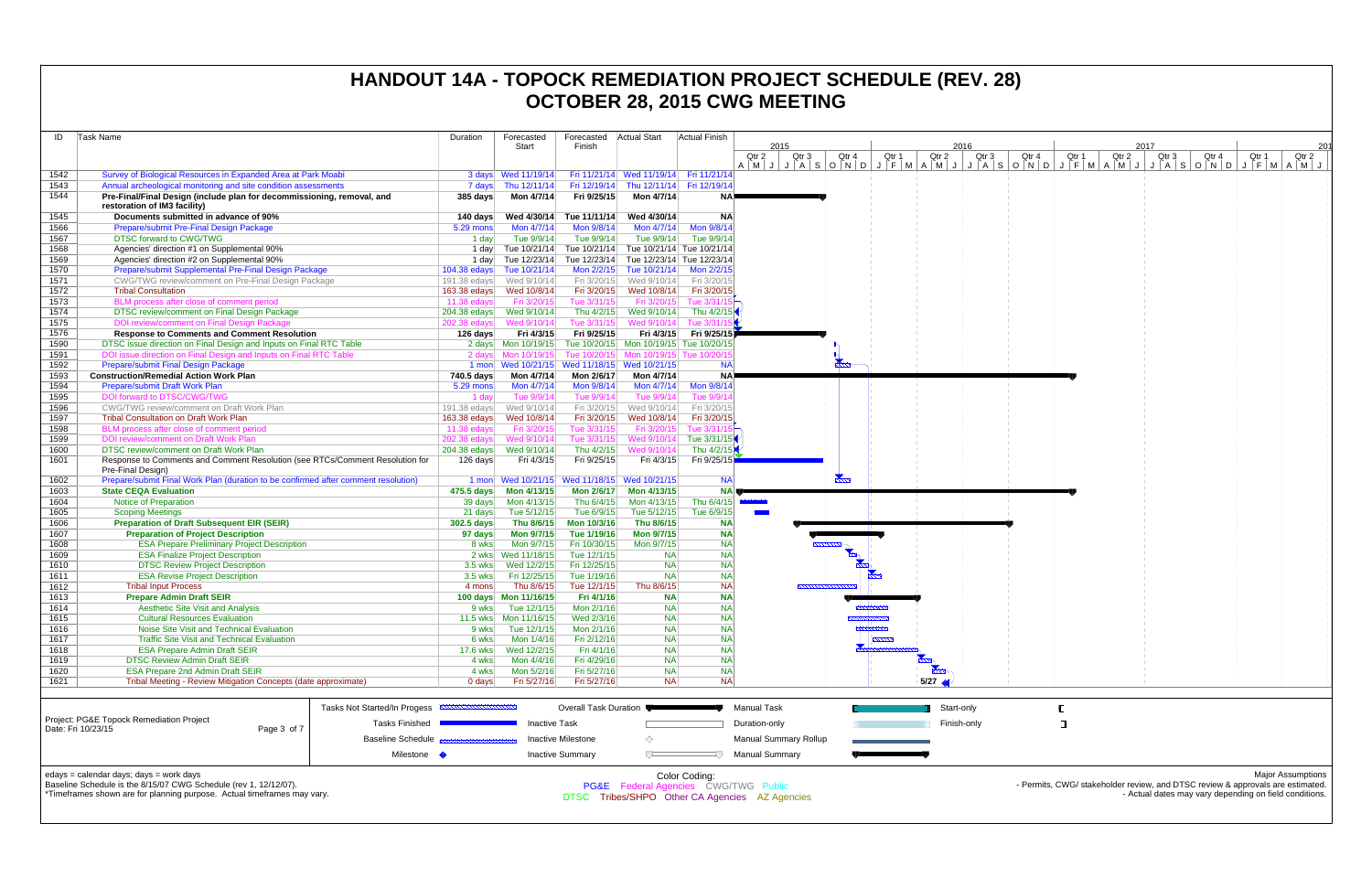| Task Name<br>ID |                                                                                                                                         | Forecasted<br>Duration<br>Start |                                                           | Forecasted<br>Finish        | <b>Actual Start</b>                                                             | <b>Actual Finish</b>      | 2015                                                                                                                                                |                |                        | 2016        |       |       | 201   |                                                                                |       |                          |  |
|-----------------|-----------------------------------------------------------------------------------------------------------------------------------------|---------------------------------|-----------------------------------------------------------|-----------------------------|---------------------------------------------------------------------------------|---------------------------|-----------------------------------------------------------------------------------------------------------------------------------------------------|----------------|------------------------|-------------|-------|-------|-------|--------------------------------------------------------------------------------|-------|--------------------------|--|
|                 |                                                                                                                                         |                                 |                                                           |                             |                                                                                 |                           | Qtr 2<br>Qtr 3<br>A   M   J   A   S   O   N   O   N   O   N   A   M   A   M   J   A   S   O   N   O   A   M   J   J   A   S   O   N   D   J   F   M | Qtr 4          | Qtr 2<br>Qtr 1         | Qtr 3       | Qtr 4 | Qtr 1 | Qtr 2 | 2017<br>Qtr <sub>3</sub><br>Qtr 4                                              | Qtr 1 | Qtr 2<br>$A$ $M$ $J$     |  |
| 1542            | Survey of Biological Resources in Expanded Area at Park Moabi                                                                           |                                 | 3 days Wed 11/19/14                                       |                             | Fri 11/21/14 Wed 11/19/14 Fri 11/21/14                                          |                           |                                                                                                                                                     |                |                        |             |       |       |       |                                                                                |       |                          |  |
| 1543            | Annual archeological monitoring and site condition assessments                                                                          |                                 | 7 days Thu 12/11/14                                       |                             | Fri 12/19/14 Thu 12/11/14 Fri 12/19/14                                          |                           |                                                                                                                                                     |                |                        |             |       |       |       |                                                                                |       |                          |  |
| 1544            | Pre-Final/Final Design (include plan for decommissioning, removal, and<br>restoration of IM3 facility)                                  | 385 days                        | Mon 4/7/14                                                | Fri 9/25/15                 | Mon 4/7/14                                                                      | NA.                       |                                                                                                                                                     |                |                        |             |       |       |       |                                                                                |       |                          |  |
| 1545            | Documents submitted in advance of 90%                                                                                                   | 140 days                        | Wed 4/30/14                                               | Tue 11/11/14                | Wed 4/30/14                                                                     | <b>NA</b>                 |                                                                                                                                                     |                |                        |             |       |       |       |                                                                                |       |                          |  |
| 1566            | Prepare/submit Pre-Final Design Package                                                                                                 | 5.29 mons                       | Mon 4/7/14                                                | Mon 9/8/14                  | Mon 4/7/14                                                                      | Mon 9/8/14                |                                                                                                                                                     |                |                        |             |       |       |       |                                                                                |       |                          |  |
| 1567<br>1568    | <b>DTSC forward to CWG/TWG</b><br>Agencies' direction #1 on Supplemental 90%                                                            | 1 day<br>1 day                  | Tue 9/9/14                                                | Tue 9/9/14                  | Tue 9/9/14<br>Tue 10/21/14 Tue 10/21/14 Tue 10/21/14 Tue 10/21/14               | Tue 9/9/14                |                                                                                                                                                     |                |                        |             |       |       |       |                                                                                |       |                          |  |
| 1569            | Agencies' direction #2 on Supplemental 90%                                                                                              |                                 | 1 day Tue 12/23/14 Tue 12/23/14 Tue 12/23/14 Tue 12/23/14 |                             |                                                                                 |                           |                                                                                                                                                     |                |                        |             |       |       |       |                                                                                |       |                          |  |
| 1570            | Prepare/submit Supplemental Pre-Final Design Package                                                                                    | 104.38 edays                    | Tue 10/21/14                                              | Mon 2/2/15                  | Tue 10/21/14                                                                    | Mon 2/2/15                |                                                                                                                                                     |                |                        |             |       |       |       |                                                                                |       |                          |  |
| 1571            | CWG/TWG review/comment on Pre-Final Design Package                                                                                      |                                 |                                                           | Fri 3/20/15                 | Wed 9/10/14                                                                     | Fri 3/20/15               |                                                                                                                                                     |                |                        |             |       |       |       |                                                                                |       |                          |  |
| 1572            | <b>Tribal Consultation</b>                                                                                                              | 163.38 edays                    | Wed 10/8/14                                               | Fri 3/20/15                 | Wed 10/8/14                                                                     | Fri 3/20/15               |                                                                                                                                                     |                |                        |             |       |       |       |                                                                                |       |                          |  |
| 1573            | BLM process after close of comment period                                                                                               | 11.38 edays                     | Fri 3/20/15                                               | Tue 3/31/15                 | Fri 3/20/15                                                                     | Tue 3/31/1                |                                                                                                                                                     |                |                        |             |       |       |       |                                                                                |       |                          |  |
| 1574            | DTSC review/comment on Final Design Package                                                                                             | 204.38 edays                    | Wed 9/10/14                                               | Thu 4/2/15                  | Wed 9/10/14                                                                     | Thu 4/2/15                |                                                                                                                                                     |                |                        |             |       |       |       |                                                                                |       |                          |  |
| 1575            | DOI review/comment on Final Design Package                                                                                              | 202.38 edays                    | Wed 9/10/14                                               | Tue 3/31/15                 | Wed 9/10/14                                                                     | Tue 3/31                  |                                                                                                                                                     |                |                        |             |       |       |       |                                                                                |       |                          |  |
| 1576            | <b>Response to Comments and Comment Resolution</b>                                                                                      | 126 days                        | Fri 4/3/15                                                | Fri 9/25/15                 |                                                                                 | Fri 4/3/15 Fri 9/25/15    |                                                                                                                                                     |                |                        |             |       |       |       |                                                                                |       |                          |  |
| 1590<br>1591    | DTSC issue direction on Final Design and Inputs on Final RTC Table<br>DOI issue direction on Final Design and Inputs on Final RTC Table |                                 | 2 days Mon 10/19/15<br>2 days Mon 10/19/15                |                             | Tue 10/20/15 Mon 10/19/15 Tue 10/20/15<br>Tue 10/20/15 Mon 10/19/15 Tue 10/20/1 |                           |                                                                                                                                                     |                |                        |             |       |       |       |                                                                                |       |                          |  |
| 1592            | <b>Prepare/submit Final Design Package</b>                                                                                              |                                 | 1 mon Wed 10/21/15 Wed 11/18/15 Wed 10/21/15              |                             |                                                                                 | <b>NA</b>                 |                                                                                                                                                     |                |                        |             |       |       |       |                                                                                |       |                          |  |
| 1593            | <b>Construction/Remedial Action Work Plan</b>                                                                                           | 740.5 days                      | Mon 4/7/14                                                | Mon 2/6/17                  | Mon 4/7/14                                                                      | <b>NA</b>                 |                                                                                                                                                     |                |                        |             |       |       |       |                                                                                |       |                          |  |
| 1594            | Prepare/submit Draft Work Plan                                                                                                          | 5.29 mons                       | Mon 4/7/14                                                | Mon 9/8/14                  | Mon 4/7/14                                                                      | Mon 9/8/14                |                                                                                                                                                     |                |                        |             |       |       |       |                                                                                |       |                          |  |
| 1595            | DOI forward to DTSC/CWG/TWG                                                                                                             | 1 dav                           | Tue 9/9/14                                                | Tue 9/9/14                  | Tue 9/9/14                                                                      | Tue 9/9/1                 |                                                                                                                                                     |                |                        |             |       |       |       |                                                                                |       |                          |  |
| 1596            | CWG/TWG review/comment on Draft Work Plan                                                                                               | 191.38 edays                    | Wed 9/10/14                                               | Fri 3/20/15                 | Wed 9/10/14                                                                     | Fri 3/20/15               |                                                                                                                                                     |                |                        |             |       |       |       |                                                                                |       |                          |  |
| 1597            | <b>Tribal Consultation on Draft Work Plan</b>                                                                                           | 163.38 edays                    | Wed 10/8/14                                               | Fri 3/20/15                 | Wed 10/8/14                                                                     | Fri 3/20/15               |                                                                                                                                                     |                |                        |             |       |       |       |                                                                                |       |                          |  |
| 1598            | BLM process after close of comment period                                                                                               | 11.38 $edays$                   | Fri 3/20/15                                               | Tue 3/31/15                 | Fri 3/20/15                                                                     | Tue 3/31/1                |                                                                                                                                                     |                |                        |             |       |       |       |                                                                                |       |                          |  |
| 1599            | DOI review/comment on Draft Work Plan                                                                                                   | 202.38 edays                    | Wed 9/10/14                                               | Tue 3/31/15                 | Wed 9/10/14                                                                     | Tue 3/31/15               |                                                                                                                                                     |                |                        |             |       |       |       |                                                                                |       |                          |  |
| 1600            | <b>DTSC review/comment on Draft Work Plan</b><br>Response to Comments and Comment Resolution (see RTCs/Comment Resolution for           |                                 | Fri 4/3/15                                                | Thu 4/2/15<br>Fri 9/25/15   | Wed 9/10/14<br>Fri 4/3/15                                                       | Thu 4/2/15<br>Fri 9/25/15 |                                                                                                                                                     |                |                        |             |       |       |       |                                                                                |       |                          |  |
| 1601            | Pre-Final Design)                                                                                                                       | 126 days                        |                                                           |                             |                                                                                 |                           |                                                                                                                                                     |                |                        |             |       |       |       |                                                                                |       |                          |  |
| 1602            | Prepare/submit Final Work Plan (duration to be confirmed after comment resolution)                                                      |                                 | 1 mon Wed 10/21/15 Wed 11/18/15 Wed 10/21/15              |                             |                                                                                 | <b>NA</b>                 |                                                                                                                                                     | $\sum_{i=1}^n$ |                        |             |       |       |       |                                                                                |       |                          |  |
| 1603            | <b>State CEQA Evaluation</b>                                                                                                            |                                 |                                                           | <b>Mon 2/6/17</b>           | Mon 4/13/15                                                                     | <b>NA</b>                 |                                                                                                                                                     |                |                        |             |       |       |       |                                                                                |       |                          |  |
| 1604            | <b>Notice of Preparation</b>                                                                                                            | 39 days                         | Mon 4/13/15                                               | Thu 6/4/15                  | Mon 4/13/15                                                                     | Thu 6/4/15                | <b>Contract Contract</b>                                                                                                                            |                |                        |             |       |       |       |                                                                                |       |                          |  |
| 1605            | <b>Scoping Meetings</b>                                                                                                                 | 21 days                         | Tue 5/12/15                                               | Tue 6/9/15                  | Tue 5/12/15                                                                     | Tue 6/9/15                |                                                                                                                                                     |                |                        |             |       |       |       |                                                                                |       |                          |  |
| 1606            | <b>Preparation of Draft Subsequent EIR (SEIR)</b>                                                                                       | $302.5$ days                    | Thu 8/6/15                                                | Mon 10/3/16                 | Thu 8/6/15                                                                      | <b>NA</b>                 |                                                                                                                                                     |                |                        |             |       |       |       |                                                                                |       |                          |  |
| 1607            | <b>Preparation of Project Description</b>                                                                                               | 97 days                         | <b>Mon 9/7/15</b>                                         | Tue 1/19/16                 | Mon 9/7/15                                                                      | <b>NA</b>                 |                                                                                                                                                     |                |                        |             |       |       |       |                                                                                |       |                          |  |
| 1608            | <b>ESA Prepare Preliminary Project Description</b>                                                                                      | 8 wks                           | Mon 9/7/15                                                | Fri 10/30/15<br>Tue 12/1/15 | Mon 9/7/15                                                                      | <b>NA</b><br><b>NA</b>    |                                                                                                                                                     |                |                        |             |       |       |       |                                                                                |       |                          |  |
| 1609<br>1610    | <b>ESA Finalize Project Description</b><br><b>DTSC Review Project Description</b>                                                       | 3.5 wks                         | 2 wks Wed 11/18/15<br>Wed 12/2/15                         | Fri 12/25/15                | <b>NA</b><br><b>NA</b>                                                          | <b>NA</b>                 |                                                                                                                                                     |                |                        |             |       |       |       |                                                                                |       |                          |  |
| 1611            | <b>ESA Revise Project Description</b>                                                                                                   | $3.5$ wks                       | Fri 12/25/15                                              | Tue 1/19/16                 | <b>NA</b>                                                                       | <b>NA</b>                 |                                                                                                                                                     |                |                        |             |       |       |       |                                                                                |       |                          |  |
| 1612            | <b>Tribal Input Process</b>                                                                                                             | 4 mons                          | Thu 8/6/15                                                | Tue 12/1/15                 | Thu 8/6/15                                                                      | <b>NA</b>                 |                                                                                                                                                     |                |                        |             |       |       |       |                                                                                |       |                          |  |
| 1613            | <b>Prepare Admin Draft SEIR</b>                                                                                                         |                                 |                                                           | Fri 4/1/16                  | <b>NA</b>                                                                       | <b>NA</b>                 |                                                                                                                                                     |                |                        |             |       |       |       |                                                                                |       |                          |  |
| 1614            | <b>Aesthetic Site Visit and Analysis</b>                                                                                                | 9 wks                           | Tue 12/1/15                                               | Mon 2/1/16                  | <b>NA</b>                                                                       | <b>NA</b>                 |                                                                                                                                                     |                |                        |             |       |       |       |                                                                                |       |                          |  |
| 1615            | <b>Cultural Resources Evaluation</b>                                                                                                    |                                 | 11.5 wks   Mon   11/16/15                                 | Wed 2/3/16                  | <b>NA</b>                                                                       | <b>NA</b>                 |                                                                                                                                                     |                |                        |             |       |       |       |                                                                                |       |                          |  |
| 1616            | Noise Site Visit and Technical Evaluation                                                                                               | 9 wks                           | Tue 12/1/15                                               | Mon 2/1/16                  | <b>NA</b>                                                                       | <b>NA</b>                 |                                                                                                                                                     |                |                        |             |       |       |       |                                                                                |       |                          |  |
| 1617            | <b>Traffic Site Visit and Technical Evaluation</b><br><b>ESA Prepare Admin Draft SEIR</b>                                               | 6 wks                           | Mon 1/4/16                                                | Fri 2/12/16                 | <b>NA</b>                                                                       | <b>NA</b><br><b>NA</b>    |                                                                                                                                                     |                | ,,,,,,,,,              |             |       |       |       |                                                                                |       |                          |  |
| 1618<br>1619    | <b>DTSC Review Admin Draft SEIR</b>                                                                                                     | 17.6 wks<br>4 wks               | Wed 12/2/15<br>Mon 4/4/16                                 | Fri 4/1/16<br>Fri 4/29/16   | <b>NA</b><br><b>NA</b>                                                          | <b>NA</b>                 |                                                                                                                                                     |                |                        |             |       |       |       |                                                                                |       |                          |  |
| 1620            | <b>ESA Prepare 2nd Admin Draft SEIR</b>                                                                                                 | 4 wks                           | Mon 5/2/16                                                | Fri 5/27/16                 | <b>NA</b>                                                                       | <b>NA</b>                 |                                                                                                                                                     |                | $\frac{1}{2}$          |             |       |       |       |                                                                                |       |                          |  |
| 1621            | Tribal Meeting - Review Mitigation Concepts (date approximate)                                                                          | 0 days                          | Fri 5/27/16                                               | Fri 5/27/16                 | <b>NA</b>                                                                       | <b>NA</b>                 |                                                                                                                                                     |                | $5/27$ $\triangleleft$ |             |       |       |       |                                                                                |       |                          |  |
|                 |                                                                                                                                         |                                 |                                                           |                             |                                                                                 |                           |                                                                                                                                                     |                |                        |             |       |       |       |                                                                                |       |                          |  |
|                 | Tasks Not Started/In Progess                                                                                                            |                                 |                                                           | Overall Task Duration       |                                                                                 |                           | <b>Manual Task</b>                                                                                                                                  |                |                        | Start-only  |       |       |       |                                                                                |       |                          |  |
|                 | Project: PG&E Topock Remediation Project                                                                                                |                                 |                                                           |                             |                                                                                 |                           |                                                                                                                                                     |                |                        |             |       |       |       |                                                                                |       |                          |  |
|                 | <b>Tasks Finished</b><br>Date: Fri 10/23/15<br>Page 3 of 7                                                                              |                                 | <b>Inactive Task</b>                                      |                             |                                                                                 |                           | Duration-only                                                                                                                                       |                |                        | Finish-only |       |       |       |                                                                                |       |                          |  |
|                 | <b>Baseline Schedule</b>                                                                                                                |                                 |                                                           | Inactive Milestone          | ◇                                                                               |                           | Manual Summary Rollup                                                                                                                               |                |                        |             |       |       |       |                                                                                |       |                          |  |
|                 | Milestone •                                                                                                                             |                                 |                                                           | <b>Inactive Summary</b>     | $\overline{C}$                                                                  | 4 J                       | <b>Manual Summary</b>                                                                                                                               |                |                        |             |       |       |       |                                                                                |       |                          |  |
|                 |                                                                                                                                         |                                 |                                                           |                             |                                                                                 |                           |                                                                                                                                                     |                |                        |             |       |       |       |                                                                                |       |                          |  |
|                 | edays = calendar days; days = work days<br>Baseline Schedule is the 8/15/07 CWG Schedule (rev 1, 12/12/07).                             |                                 |                                                           |                             | <b>PG&amp;E</b> Federal Agencies CWG/TWG Public                                 | Color Coding:             |                                                                                                                                                     |                |                        |             |       |       |       | - Permits, CWG/ stakeholder review, and DTSC review & approvals are estimated. |       | <b>Major Assumptions</b> |  |
|                 | *Timeframes shown are for planning purpose. Actual timeframes may vary.                                                                 |                                 |                                                           |                             |                                                                                 |                           | DTSC Tribes/SHPO Other CA Agencies AZ Agencies                                                                                                      |                |                        |             |       |       |       | - Actual dates may vary depending on field conditions.                         |       |                          |  |
|                 |                                                                                                                                         |                                 |                                                           |                             |                                                                                 |                           |                                                                                                                                                     |                |                        |             |       |       |       |                                                                                |       |                          |  |
|                 |                                                                                                                                         |                                 |                                                           |                             |                                                                                 |                           |                                                                                                                                                     |                |                        |             |       |       |       |                                                                                |       |                          |  |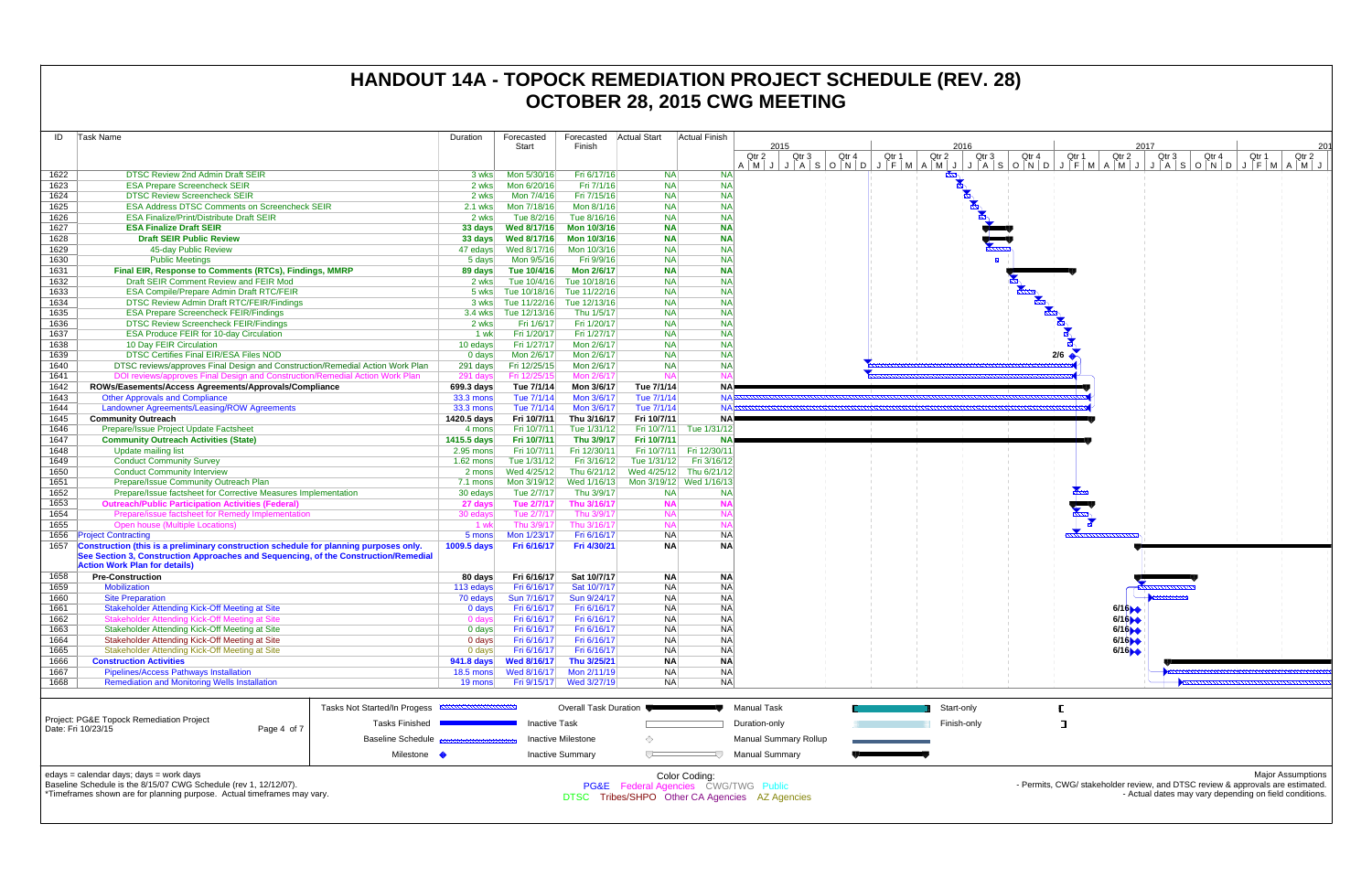| ID   | Task Name                                                                             |                                     | Duration                           | Forecasted           | Forecasted                | Actual Start | Actual Finish           |                                                                  |       |       |                 |                                    |
|------|---------------------------------------------------------------------------------------|-------------------------------------|------------------------------------|----------------------|---------------------------|--------------|-------------------------|------------------------------------------------------------------|-------|-------|-----------------|------------------------------------|
|      |                                                                                       |                                     |                                    | Start                | Finish                    |              |                         | 2015                                                             |       |       |                 | 2016                               |
|      |                                                                                       |                                     |                                    |                      |                           |              |                         | Qtr 2<br>Qtr 3                                                   | Qtr 4 | Qtr 1 | Qtr 2           | Qtr 3                              |
| 1622 | <b>DTSC Review 2nd Admin Draft SEIR</b>                                               |                                     |                                    | Mon 5/30/16          | Fri 6/17/16               | <b>NA</b>    | <b>NA</b>               | $A \mid M \mid J \mid J \mid A \mid S \mid O \mid N \mid D \mid$ |       | J     | $F$ $M$ $A$ $M$ | $J$ $J$ $A$ $S$<br><b>HARALAND</b> |
| 1623 | <b>ESA Prepare Screencheck SEIR</b>                                                   |                                     | 3 wks                              | Mon 6/20/16          | Fri 7/1/16                | <b>NA</b>    | <b>NA</b>               |                                                                  |       |       |                 |                                    |
|      | <b>DTSC Review Screencheck SEIR</b>                                                   |                                     | 2 wks                              |                      |                           |              | <b>NA</b>               |                                                                  |       |       |                 |                                    |
| 1624 |                                                                                       |                                     | 2 wks                              | Mon 7/4/16           | Fri 7/15/16               | <b>NA</b>    |                         |                                                                  |       |       |                 |                                    |
| 1625 | <b>ESA Address DTSC Comments on Screencheck SEIR</b>                                  |                                     | 2.1 wks                            | Mon 7/18/16          | Mon 8/1/16                | <b>NA</b>    | <b>NA</b>               |                                                                  |       |       |                 |                                    |
| 1626 | <b>ESA Finalize/Print/Distribute Draft SEIR</b>                                       |                                     | 2 wks                              | Tue 8/2/16           | Tue 8/16/16               | <b>NA</b>    | <b>NA</b>               |                                                                  |       |       |                 |                                    |
| 1627 | <b>ESA Finalize Draft SEIR</b>                                                        |                                     | 33 days                            | Wed 8/17/16          | Mon 10/3/16               | <b>NA</b>    | <b>NA</b>               |                                                                  |       |       |                 |                                    |
| 1628 | <b>Draft SEIR Public Review</b>                                                       |                                     | 33 days                            | Wed 8/17/16          | Mon 10/3/16               | <b>NA</b>    | <b>NA</b>               |                                                                  |       |       |                 |                                    |
| 1629 | 45-day Public Review                                                                  |                                     | 47 edays                           | Wed 8/17/16          | Mon 10/3/16               | <b>NA</b>    | <b>NA</b>               |                                                                  |       |       |                 |                                    |
| 1630 | <b>Public Meetings</b>                                                                |                                     | 5 days                             | Mon 9/5/16           | Fri 9/9/16                | <b>NA</b>    | <b>NA</b>               |                                                                  |       |       |                 |                                    |
| 1631 | Final EIR, Response to Comments (RTCs), Findings, MMRP                                |                                     | 89 days                            | Tue 10/4/16          | <b>Mon 2/6/17</b>         | <b>NA</b>    | <b>NA</b>               |                                                                  |       |       |                 |                                    |
| 1632 | Draft SEIR Comment Review and FEIR Mod                                                |                                     | 2 wks                              | Tue 10/4/16          | Tue 10/18/16              | <b>NA</b>    | <b>NA</b>               |                                                                  |       |       |                 |                                    |
| 1633 | ESA Compile/Prepare Admin Draft RTC/FEIR                                              |                                     | 5 wks                              | Tue 10/18/16         | Tue 11/22/16              | <b>NA</b>    | <b>NA</b>               |                                                                  |       |       |                 |                                    |
| 1634 | <b>DTSC Review Admin Draft RTC/FEIR/Findings</b>                                      |                                     | 3 wks                              | Tue 11/22/16         | Tue 12/13/16              | <b>NA</b>    | <b>NA</b>               |                                                                  |       |       |                 |                                    |
| 1635 | <b>ESA Prepare Screencheck FEIR/Findings</b>                                          |                                     |                                    | 3.4 wks Tue 12/13/16 | Thu 1/5/17                | <b>NA</b>    | <b>NA</b>               |                                                                  |       |       |                 |                                    |
| 1636 | <b>DTSC Review Screencheck FEIR/Findings</b>                                          |                                     | 2 wks                              | Fri 1/6/17           | Fri 1/20/17               | <b>NA</b>    | <b>NA</b>               |                                                                  |       |       |                 |                                    |
| 1637 | <b>ESA Produce FEIR for 10-day Circulation</b>                                        |                                     | 1 wk                               | Fri 1/20/17          | Fri 1/27/17               | <b>NA</b>    | <b>NA</b>               |                                                                  |       |       |                 |                                    |
| 1638 | 10 Day FEIR Circulation                                                               |                                     | 10 edays                           | Fri 1/27/17          | Mon 2/6/17                | <b>NA</b>    | <b>NA</b>               |                                                                  |       |       |                 |                                    |
| 1639 | DTSC Certifies Final EIR/ESA Files NOD                                                |                                     | $0$ days                           | Mon 2/6/17           | Mon 2/6/17                | <b>NA</b>    | <b>NA</b>               |                                                                  |       |       |                 |                                    |
| 1640 | DTSC reviews/approves Final Design and Construction/Remedial Action Work Plan         |                                     | 291 days                           | Fri 12/25/15         | Mon 2/6/17                | <b>NA</b>    | <b>NA</b>               |                                                                  |       |       |                 |                                    |
| 1641 | DOI reviews/approves Final Design and Construction/Remedial Action Work Plan          |                                     | 291 days                           | Fri 12/25/15         | Mon 2/6/17                | <b>NA</b>    | <b>NA</b>               |                                                                  |       |       |                 |                                    |
| 1642 | ROWs/Easements/Access Agreements/Approvals/Compliance                                 |                                     | 699.3 days                         | Tue 7/1/14           | Mon 3/6/17                | Tue 7/1/14   | <b>NA</b>               |                                                                  |       |       |                 |                                    |
| 1643 | <b>Other Approvals and Compliance</b>                                                 |                                     | <b>33.3 mons</b>                   | Tue 7/1/14           | Mon 3/6/17                | Tue 7/1/14   | <b>NA</b>               |                                                                  |       |       |                 |                                    |
| 1644 | Landowner Agreements/Leasing/ROW Agreements                                           |                                     | <b>33.3 mons</b>                   | Tue 7/1/14           | Mon 3/6/17                | Tue 7/1/14   | <b>NA</b>               |                                                                  |       |       |                 |                                    |
| 1645 | <b>Community Outreach</b>                                                             |                                     | 1420.5 days                        | Fri 10/7/11          | Thu 3/16/17               | Fri 10/7/11  | NA)                     |                                                                  |       |       |                 |                                    |
| 1646 | Prepare/Issue Project Update Factsheet                                                |                                     | 4 mons                             | Fri 10/7/11          | Tue 1/31/12               | Fri 10/7/11  | Tue 1/31/12             |                                                                  |       |       |                 |                                    |
| 1647 |                                                                                       |                                     | 1415.5 days                        | Fri 10/7/11          | Thu 3/9/17                | Fri 10/7/11  | <b>NA</b>               |                                                                  |       |       |                 |                                    |
| 1648 | <b>Community Outreach Activities (State)</b>                                          |                                     | 2.95 mons                          | Fri 10/7/11          | Fri 12/30/11              | Fri 10/7/11  | Fri 12/30/11            |                                                                  |       |       |                 |                                    |
| 1649 | Update mailing list                                                                   |                                     |                                    |                      |                           |              | Fri 3/16/12             |                                                                  |       |       |                 |                                    |
|      | <b>Conduct Community Survey</b>                                                       |                                     | $1.62$ mons                        | Tue 1/31/12          | Fri 3/16/12               | Tue 1/31/12  |                         |                                                                  |       |       |                 |                                    |
| 1650 | <b>Conduct Community Interview</b>                                                    |                                     | 2 mons                             | Wed 4/25/12          | Thu 6/21/12               | Wed 4/25/12  | Thu 6/21/12             |                                                                  |       |       |                 |                                    |
| 1651 | Prepare/Issue Community Outreach Plan                                                 |                                     | 7.1 mons                           | Mon 3/19/12          | Wed 1/16/13               |              | Mon 3/19/12 Wed 1/16/13 |                                                                  |       |       |                 |                                    |
| 1652 | Prepare/Issue factsheet for Corrective Measures Implementation                        |                                     | 30 edays                           | Tue 2/7/17           | Thu 3/9/17                | <b>NA</b>    | <b>NA</b>               |                                                                  |       |       |                 |                                    |
| 1653 | <b>Outreach/Public Participation Activities (Federal)</b>                             |                                     | 27 days                            | Tue 2/7/17           | Thu 3/16/17               | <b>NA</b>    | <b>NA</b>               |                                                                  |       |       |                 |                                    |
| 1654 | Prepare/issue factsheet for Remedy Implementation                                     |                                     | 30 edays                           | Tue 2/7/17           | Thu 3/9/17                | <b>NA</b>    | <b>NA</b>               |                                                                  |       |       |                 |                                    |
| 1655 | <b>Open house (Multiple Locations)</b>                                                |                                     | 1 wk                               | Thu 3/9/17           | Thu 3/16/17               | <b>NA</b>    | <b>NA</b>               |                                                                  |       |       |                 |                                    |
| 1656 | <b>Project Contracting</b>                                                            |                                     | 5 mons                             | Mon 1/23/17          | Fri 6/16/17               | <b>NA</b>    | <b>NA</b>               |                                                                  |       |       |                 |                                    |
| 1657 | Construction (this is a preliminary construction schedule for planning purposes only. |                                     | 1009.5 days                        | Fri 6/16/17          | Fri 4/30/21               | <b>NA</b>    | <b>NA</b>               |                                                                  |       |       |                 |                                    |
|      | See Section 3, Construction Approaches and Sequencing, of the Construction/Remedial   |                                     |                                    |                      |                           |              |                         |                                                                  |       |       |                 |                                    |
|      | <b>Action Work Plan for details)</b>                                                  |                                     |                                    |                      |                           |              |                         |                                                                  |       |       |                 |                                    |
| 1658 | <b>Pre-Construction</b>                                                               |                                     | 80 days                            | Fri 6/16/17          | Sat 10/7/17               | <b>NA</b>    | <b>NA</b>               |                                                                  |       |       |                 |                                    |
| 1659 | <b>Mobilization</b>                                                                   |                                     | 113 edays                          | Fri 6/16/17          | Sat 10/7/17               | <b>NA</b>    | <b>NA</b>               |                                                                  |       |       |                 |                                    |
| 1660 | <b>Site Preparation</b>                                                               |                                     | 70 edays                           | Sun 7/16/17          | Sun 9/24/17               | <b>NA</b>    | <b>NA</b>               |                                                                  |       |       |                 |                                    |
| 1661 | <b>Stakeholder Attending Kick-Off Meeting at Site</b>                                 |                                     | 0 days                             | Fri 6/16/17          | Fri 6/16/17               | <b>NA</b>    | <b>NA</b>               |                                                                  |       |       |                 |                                    |
| 1662 | Stakeholder Attending Kick-Off Meeting at Site                                        |                                     | $0$ days                           | Fri 6/16/17          | Fri 6/16/17               | <b>NA</b>    | <b>NA</b>               |                                                                  |       |       |                 |                                    |
| 1663 | Stakeholder Attending Kick-Off Meeting at Site                                        |                                     | 0 days                             | Fri 6/16/17          | Fri 6/16/17               | <b>NA</b>    | <b>NA</b>               |                                                                  |       |       |                 |                                    |
| 1664 | Stakeholder Attending Kick-Off Meeting at Site                                        |                                     | 0 days                             | Fri 6/16/17          | Fri 6/16/17               | <b>NA</b>    | NA                      |                                                                  |       |       |                 |                                    |
| 1665 | Stakeholder Attending Kick-Off Meeting at Site                                        |                                     | $0$ days                           | Fri 6/16/17          | Fri 6/16/17               | <b>NA</b>    | NA                      |                                                                  |       |       |                 |                                    |
| 1666 | <b>Construction Activities</b>                                                        |                                     | 941.8 days                         | <b>Wed 8/16/17</b>   | Thu 3/25/21               | <b>NA</b>    | <b>NA</b>               |                                                                  |       |       |                 |                                    |
| 1667 | Pipelines/Access Pathways Installation                                                |                                     | $18.5 \text{ mon}$                 | Wed 8/16/17          | Mon 2/11/19               | <b>NA</b>    | <b>NA</b>               |                                                                  |       |       |                 |                                    |
| 1668 | <b>Remediation and Monitoring Wells Installation</b>                                  |                                     | 19 mons                            | Fri 9/15/17          | Wed 3/27/19               | <b>NA</b>    | <b>NA</b>               |                                                                  |       |       |                 |                                    |
|      |                                                                                       |                                     |                                    |                      |                           |              |                         |                                                                  |       |       |                 |                                    |
|      |                                                                                       |                                     |                                    |                      |                           |              |                         |                                                                  |       |       |                 |                                    |
|      |                                                                                       | <b>Tasks Not Started/In Progess</b> | <b>MANUFACTURING MANUFACTURING</b> |                      | Overall Task Duration     |              |                         | <b>Manual Task</b>                                               |       |       |                 | Start-only                         |
|      | Project: PG&E Topock Remediation Project                                              | <b>Tasks Finished</b>               |                                    | <b>Inactive Task</b> |                           |              |                         | Duration-only                                                    |       |       |                 | Finish-only                        |
|      | Date: Fri 10/23/15<br>Page 4 of 7                                                     |                                     |                                    |                      |                           |              |                         |                                                                  |       |       |                 |                                    |
|      |                                                                                       | <b>Baseline Schedule</b>            |                                    |                      | <b>Inactive Milestone</b> | ◇            |                         | <b>Manual Summary Rollup</b>                                     |       |       |                 |                                    |
|      |                                                                                       | Milestone •                         |                                    |                      | <b>Inactive Summary</b>   | ᅮ            | ₹                       | <b>Manual Summary</b>                                            |       |       |                 |                                    |
|      |                                                                                       |                                     |                                    |                      |                           |              |                         |                                                                  |       |       |                 |                                    |
|      | edays = calendar days; days = work days                                               |                                     |                                    |                      |                           |              | Color Coding:           |                                                                  |       |       |                 |                                    |



Baseline Schedule is the 8/15/07 CWG Schedule (rev 1, 12/12/07). \*Timeframes shown are for planning purpose. Actual timeframes may vary. PG&E Federal Agencies CWG/TWG Public

DTSC Tribes/SHPO Other CA Agencies AZ Agencies